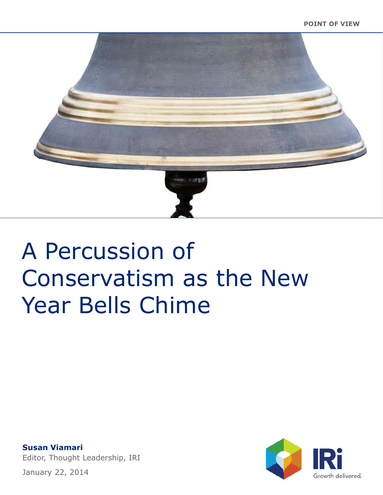

**Susan Viamari** Editor, Thought Leadership, IRI Growth delivered.

January 22, 2014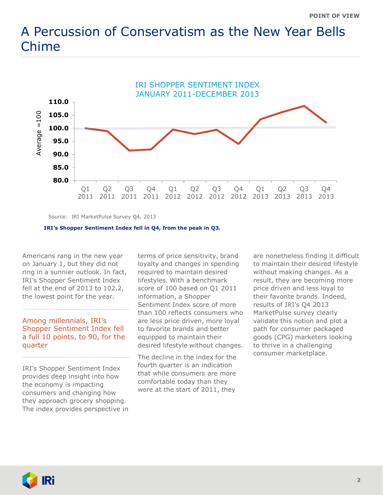

Source: IRI MarketPulse Survey Q4, 2013

#### **IRI's Shopper Sentiment Index fell in Q4, from the peak in Q3.**

Americans rang in the new year on January 1, but they did not ring in a sunnier outlook. In fact, IRI's Shopper Sentiment Index fell at the end of 2013 to 102.2, the lowest point for the year.

## Among millennials, IRI's Shopper Sentiment Index fell a full 10 points, to 90, for the quarter

IRI's Shopper Sentiment Index provides deep insight into how the economy is impacting consumers and changing how they approach grocery shopping. The index provides perspective in terms of price sensitivity, brand loyalty and changes in spending required to maintain desired lifestyles. With a benchmark score of 100 based on Q1 2011 information, a Shopper Sentiment Index score of more than 100 reflects consumers who are less price driven, more loyal to favorite brands and better equipped to maintain their desired lifestyle without changes.

The decline in the index for the fourth quarter is an indication that while consumers are more comfortable today than they were at the start of 2011, they

are nonetheless finding it difficult to maintain their desired lifestyle without making changes. As a result, they are becoming more price driven and less loyal to their favorite brands. Indeed, results of IRI's Q4 2013 MarketPulse survey clearly validate this notion and plot a path for consumer packaged goods (CPG) marketers looking to thrive in a challenging consumer marketplace.

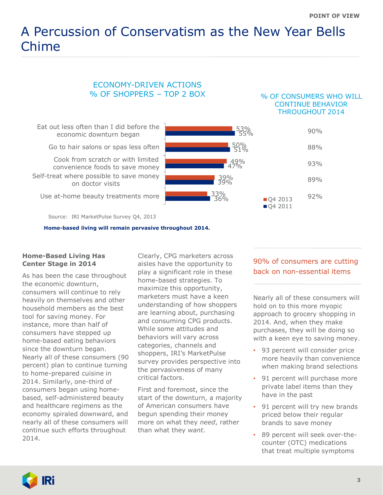## ECONOMY-DRIVEN ACTIONS % OF SHOPPERS – TOP 2 BOX

#### % OF CONSUMERS WHO WILL CONTINUE BEHAVIOR THROUGHOUT 2014



Source: IRI MarketPulse Survey Q4, 2013

**Home-based living will remain pervasive throughout 2014.**

## **Home-Based Living Has Center Stage in 2014**

As has been the case throughout the economic downturn, consumers will continue to rely heavily on themselves and other household members as the best tool for saving money. For instance, more than half of consumers have stepped up home-based eating behaviors since the downturn began. Nearly all of these consumers (90 percent) plan to continue turning to home-prepared cuisine in 2014. Similarly, one-third of consumers began using homebased, self-administered beauty and healthcare regimens as the economy spiraled downward, and nearly all of these consumers will continue such efforts throughout 2014.

Clearly, CPG marketers across aisles have the opportunity to play a significant role in these home-based strategies. To maximize this opportunity, marketers must have a keen understanding of how shoppers are learning about, purchasing and consuming CPG products. While some attitudes and behaviors will vary across categories, channels and shoppers, IRI's MarketPulse survey provides perspective into the pervasiveness of many critical factors.

First and foremost, since the start of the downturn, a majority of American consumers have begun spending their money more on what they *need*, rather than what they *want*.

# 90% of consumers are cutting back on non-essential items

Nearly all of these consumers will hold on to this more myopic approach to grocery shopping in 2014. And, when they make purchases, they will be doing so with a keen eye to saving money.

- 93 percent will consider price more heavily than convenience when making brand selections
- 91 percent will purchase more private label items than they have in the past
- 91 percent will try new brands priced below their regular brands to save money
- 89 percent will seek over-thecounter (OTC) medications that treat multiple symptoms

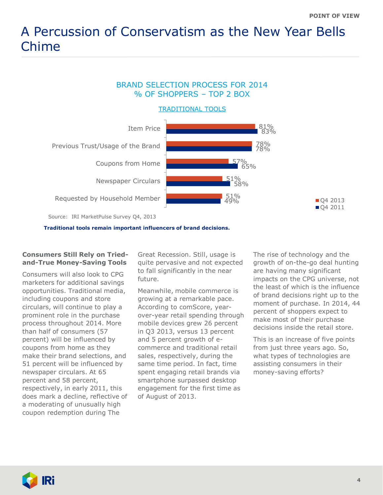# BRAND SELECTION PROCESS FOR 2014 % OF SHOPPERS – TOP 2 BOX

TRADITIONAL TOOLS



**Traditional tools remain important influencers of brand decisions.**

### **Consumers Still Rely on Triedand-True Money-Saving Tools**

Consumers will also look to CPG marketers for additional savings opportunities. Traditional media, including coupons and store circulars, will continue to play a prominent role in the purchase process throughout 2014. More than half of consumers (57 percent) will be influenced by coupons from home as they make their brand selections, and 51 percent will be influenced by newspaper circulars. At 65 percent and 58 percent, respectively, in early 2011, this does mark a decline, reflective of a moderating of unusually high coupon redemption during The

Great Recession. Still, usage is quite pervasive and not expected to fall significantly in the near future.

Meanwhile, mobile commerce is growing at a remarkable pace. According to comScore, yearover-year retail spending through mobile devices grew 26 percent in Q3 2013, versus 13 percent and 5 percent growth of ecommerce and traditional retail sales, respectively, during the same time period. In fact, time spent engaging retail brands via smartphone surpassed desktop engagement for the first time as of August of 2013.

The rise of technology and the growth of on-the-go deal hunting are having many significant impacts on the CPG universe, not the least of which is the influence of brand decisions right up to the moment of purchase. In 2014, 44 percent of shoppers expect to make most of their purchase decisions inside the retail store.

This is an increase of five points from just three years ago. So, what types of technologies are assisting consumers in their money-saving efforts?